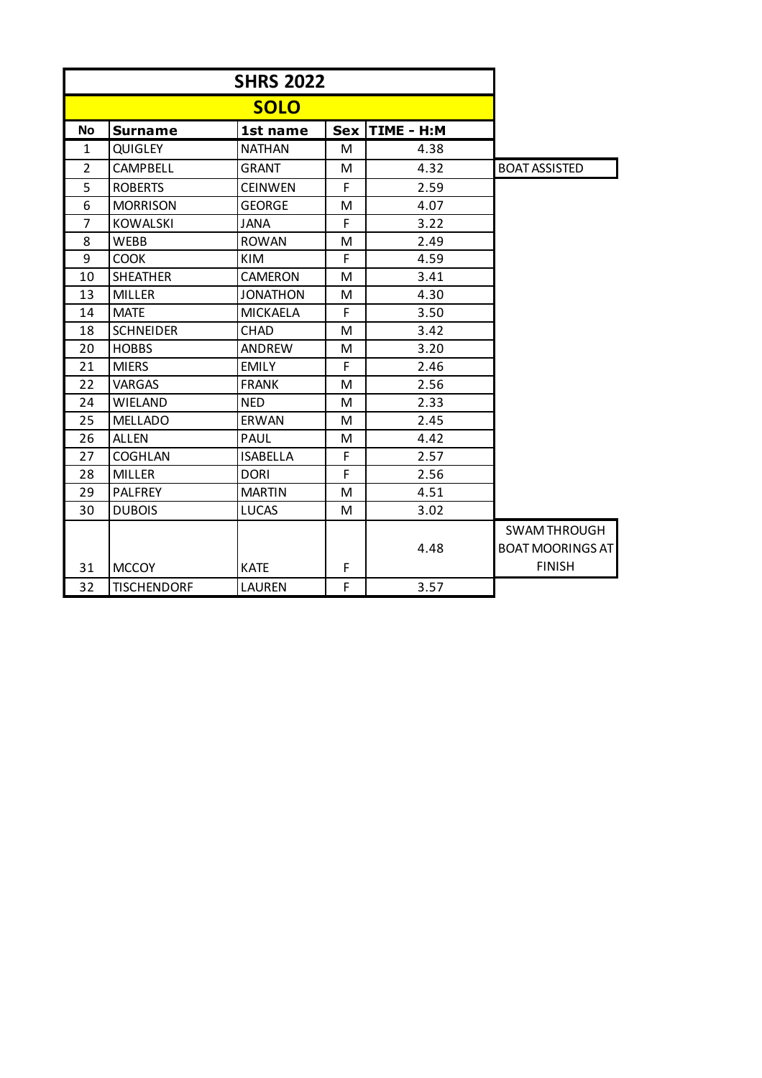|                |                    | <b>SHRS 2022</b> |            |            |                         |
|----------------|--------------------|------------------|------------|------------|-------------------------|
|                |                    |                  |            |            |                         |
| <b>No</b>      | <b>Surname</b>     | 1st name         | <b>Sex</b> | TIME - H:M |                         |
| $\mathbf{1}$   | <b>QUIGLEY</b>     | <b>NATHAN</b>    | M          | 4.38       |                         |
| $\overline{2}$ | CAMPBELL           | <b>GRANT</b>     | M          | 4.32       | <b>BOAT ASSISTED</b>    |
| 5              | <b>ROBERTS</b>     | <b>CEINWEN</b>   | F          | 2.59       |                         |
| 6              | <b>MORRISON</b>    | <b>GEORGE</b>    | M          | 4.07       |                         |
| $\overline{7}$ | <b>KOWALSKI</b>    | <b>JANA</b>      | F          | 3.22       |                         |
| 8              | <b>WEBB</b>        | <b>ROWAN</b>     | M          | 2.49       |                         |
| 9              | <b>COOK</b>        | <b>KIM</b>       | F          | 4.59       |                         |
| 10             | <b>SHEATHER</b>    | <b>CAMERON</b>   | M          | 3.41       |                         |
| 13             | <b>MILLER</b>      | <b>JONATHON</b>  | М          | 4.30       |                         |
| 14             | <b>MATE</b>        | MICKAELA         | F          | 3.50       |                         |
| 18             | <b>SCHNEIDER</b>   | <b>CHAD</b>      | M          | 3.42       |                         |
| 20             | <b>HOBBS</b>       | <b>ANDREW</b>    | M          | 3.20       |                         |
| 21             | <b>MIERS</b>       | <b>EMILY</b>     | F          | 2.46       |                         |
| 22             | <b>VARGAS</b>      | <b>FRANK</b>     | M          | 2.56       |                         |
| 24             | WIELAND            | <b>NED</b>       | M          | 2.33       |                         |
| 25             | <b>MELLADO</b>     | <b>ERWAN</b>     | M          | 2.45       |                         |
| 26             | <b>ALLEN</b>       | PAUL             | M          | 4.42       |                         |
| 27             | <b>COGHLAN</b>     | <b>ISABELLA</b>  | F          | 2.57       |                         |
| 28             | <b>MILLER</b>      | <b>DORI</b>      | F          | 2.56       |                         |
| 29             | <b>PALFREY</b>     | <b>MARTIN</b>    | M          | 4.51       |                         |
| 30             | <b>DUBOIS</b>      | <b>LUCAS</b>     | M          | 3.02       |                         |
|                |                    |                  |            |            | <b>SWAM THROUGH</b>     |
|                |                    |                  |            | 4.48       | <b>BOAT MOORINGS AT</b> |
| 31             | <b>MCCOY</b>       | <b>KATE</b>      | F          |            | <b>FINISH</b>           |
| 32             | <b>TISCHENDORF</b> | LAUREN           | F          | 3.57       |                         |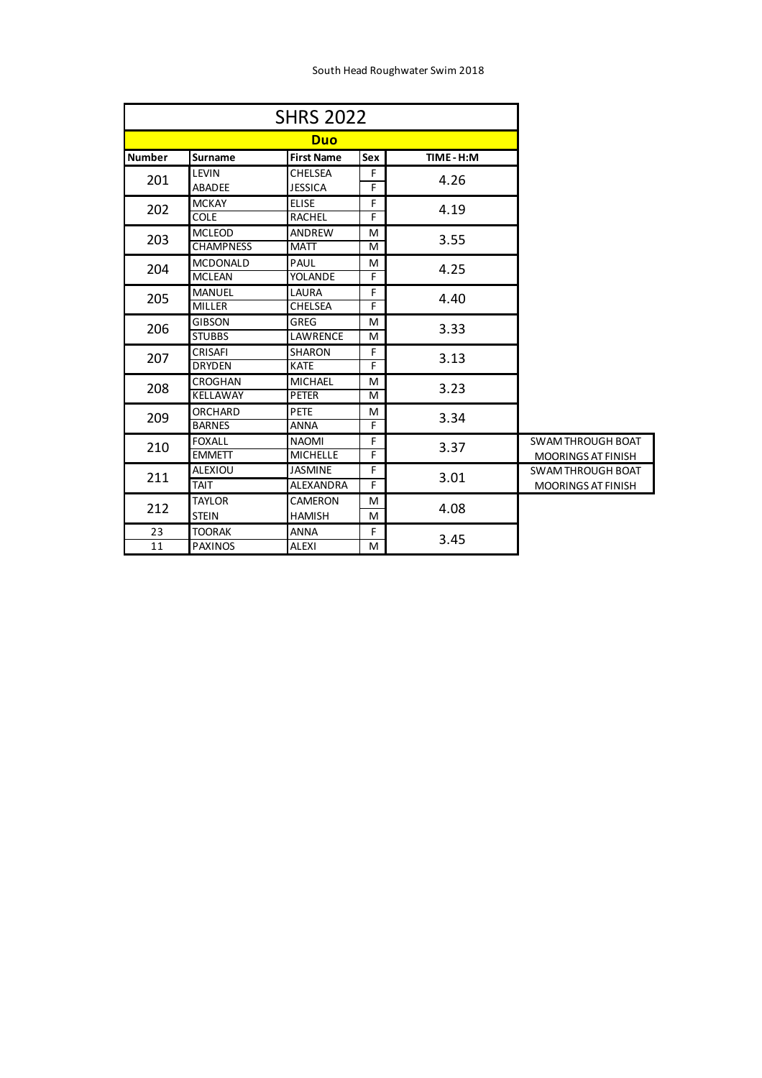|  | South Head Roughwater Swim 2018 |  |
|--|---------------------------------|--|
|  |                                 |  |

| <b>Number</b> | Surname                           | <b>First Name</b>                  | Sex    | TIME-H:M |                                                       |
|---------------|-----------------------------------|------------------------------------|--------|----------|-------------------------------------------------------|
| 201           | <b>LEVIN</b><br><b>ABADEE</b>     | <b>CHELSEA</b><br><b>JESSICA</b>   | F<br>F | 4.26     |                                                       |
| 202           | <b>MCKAY</b><br><b>COLE</b>       | <b>ELISE</b><br><b>RACHEL</b>      | F<br>F | 4.19     |                                                       |
| 203           | <b>MCLEOD</b><br><b>CHAMPNESS</b> | ANDREW<br><b>MATT</b>              | м<br>M | 3.55     |                                                       |
| 204           | <b>MCDONALD</b><br><b>MCLEAN</b>  | PAUL<br><b>YOLANDE</b>             | M<br>F | 4.25     |                                                       |
| 205           | <b>MANUEL</b><br><b>MILLER</b>    | LAURA<br><b>CHELSEA</b>            | F<br>F | 4.40     |                                                       |
| 206           | <b>GIBSON</b><br><b>STUBBS</b>    | <b>GREG</b><br><b>LAWRENCE</b>     | M<br>M | 3.33     |                                                       |
| 207           | <b>CRISAFI</b><br><b>DRYDEN</b>   | <b>SHARON</b><br><b>KATE</b>       | F<br>F | 3.13     |                                                       |
| 208           | CROGHAN<br>KELLAWAY               | <b>MICHAEL</b><br><b>PETER</b>     | M<br>M | 3.23     |                                                       |
| 209           | ORCHARD<br><b>BARNES</b>          | <b>PETE</b><br><b>ANNA</b>         | м<br>F | 3.34     |                                                       |
| 210           | <b>FOXALL</b><br><b>EMMETT</b>    | <b>NAOMI</b><br><b>MICHELLE</b>    | F<br>F | 3.37     | SWAM THROUGH BOAT<br><b>MOORINGS AT FINISH</b>        |
| 211           | <b>ALEXIOU</b><br><b>TAIT</b>     | <b>JASMINE</b><br><b>ALEXANDRA</b> | F<br>F | 3.01     | <b>SWAM THROUGH BOAT</b><br><b>MOORINGS AT FINISH</b> |
| 212           | <b>TAYLOR</b><br><b>STEIN</b>     | CAMERON<br><b>HAMISH</b>           | м<br>M | 4.08     |                                                       |
| 23<br>11      | <b>TOORAK</b><br><b>PAXINOS</b>   | <b>ANNA</b><br><b>ALEXI</b>        | F<br>M | 3.45     |                                                       |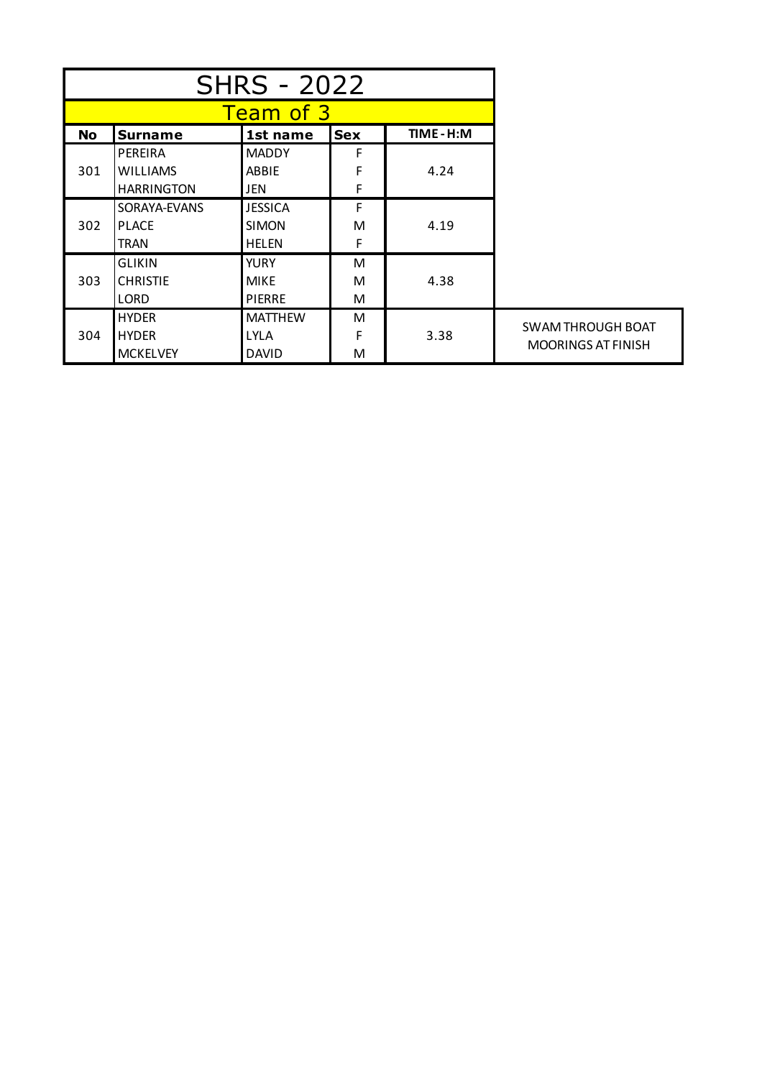|     | <b>SHRS - 2022</b> |                  |            |          |                           |
|-----|--------------------|------------------|------------|----------|---------------------------|
|     |                    | <b>Team of 3</b> |            |          |                           |
| No  | <b>Surname</b>     | 1st name         | <b>Sex</b> | TIME-H:M |                           |
|     | PEREIRA            | <b>MADDY</b>     | F          |          |                           |
| 301 | <b>WILLIAMS</b>    | ABBIE            | F          | 4.24     |                           |
|     | <b>HARRINGTON</b>  | JEN              | F          |          |                           |
|     | SORAYA-EVANS       | JESSICA          | F          | 4.19     |                           |
| 302 | <b>PLACE</b>       | <b>SIMON</b>     | M          |          |                           |
|     | <b>TRAN</b>        | HELEN            | F          |          |                           |
|     | <b>GLIKIN</b>      | YURY             | M          |          |                           |
| 303 | <b>CHRISTIE</b>    | <b>MIKE</b>      | M          | 4.38     |                           |
|     | <b>LORD</b>        | <b>PIERRE</b>    | M          |          |                           |
| 304 | <b>HYDER</b>       | <b>MATTHEW</b>   | M          |          |                           |
|     | <b>HYDER</b>       | LYLA             | F          | 3.38     | SWAM THROUGH BOAT         |
|     | <b>MCKELVEY</b>    | <b>DAVID</b>     | M          |          | <b>MOORINGS AT FINISH</b> |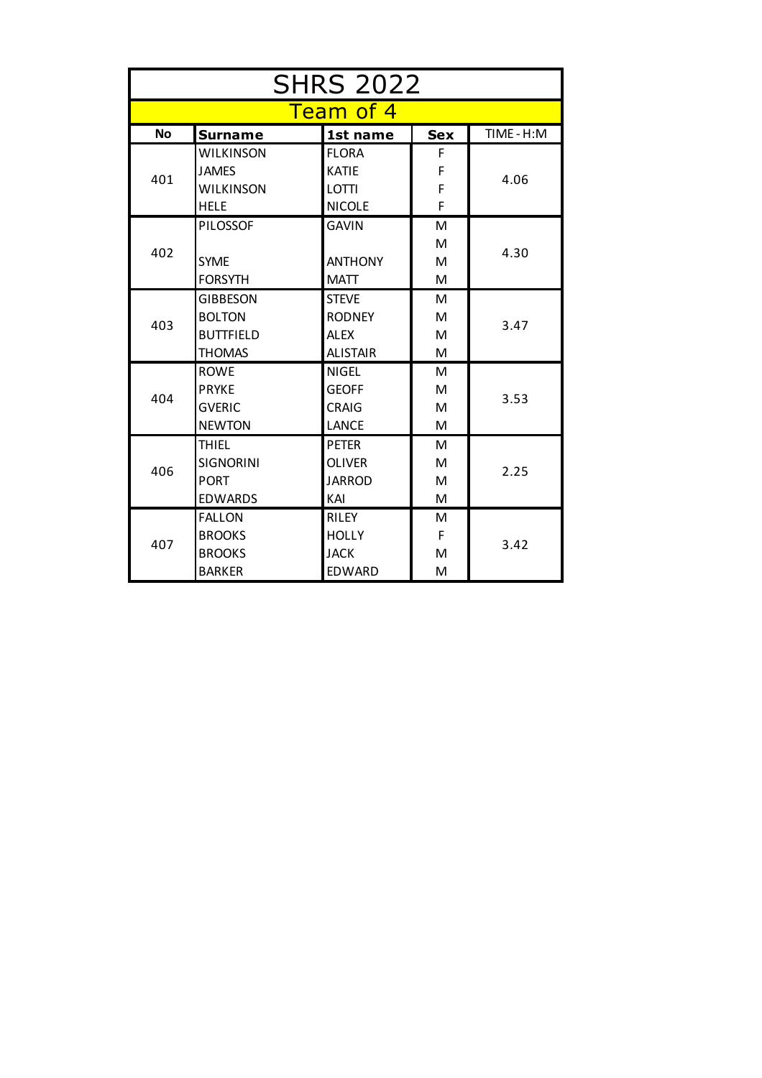| <b>SHRS 2022</b> |                                                        |                 |   |      |  |  |  |  |
|------------------|--------------------------------------------------------|-----------------|---|------|--|--|--|--|
|                  | Team of 4                                              |                 |   |      |  |  |  |  |
| <b>No</b>        | TIME - H:M<br><b>Surname</b><br>1st name<br><b>Sex</b> |                 |   |      |  |  |  |  |
|                  | <b>WILKINSON</b>                                       | <b>FLORA</b>    | F |      |  |  |  |  |
| 401              | <b>JAMES</b>                                           | <b>KATIE</b>    | F | 4.06 |  |  |  |  |
|                  | <b>WILKINSON</b>                                       | <b>LOTTI</b>    | F |      |  |  |  |  |
|                  | <b>HELE</b>                                            | <b>NICOLE</b>   | F |      |  |  |  |  |
|                  | <b>PILOSSOF</b>                                        | GAVIN           | М |      |  |  |  |  |
| 402              |                                                        |                 | М | 4.30 |  |  |  |  |
|                  | <b>SYME</b>                                            | <b>ANTHONY</b>  | M |      |  |  |  |  |
|                  | <b>FORSYTH</b>                                         | <b>MATT</b>     | М |      |  |  |  |  |
|                  | <b>GIBBESON</b>                                        | <b>STEVE</b>    | M |      |  |  |  |  |
| 403              | <b>BOLTON</b>                                          | <b>RODNEY</b>   | М | 3.47 |  |  |  |  |
|                  | <b>BUTTFIELD</b>                                       | <b>ALEX</b>     | М |      |  |  |  |  |
|                  | <b>THOMAS</b>                                          | <b>ALISTAIR</b> | М |      |  |  |  |  |
|                  | <b>ROWE</b>                                            | <b>NIGEL</b>    | M |      |  |  |  |  |
| 404              | <b>PRYKE</b>                                           | <b>GEOFF</b>    | M | 3.53 |  |  |  |  |
|                  | <b>GVERIC</b>                                          | <b>CRAIG</b>    | М |      |  |  |  |  |
|                  | <b>NEWTON</b>                                          | <b>LANCE</b>    | M |      |  |  |  |  |
|                  | <b>THIFL</b>                                           | <b>PETER</b>    | м |      |  |  |  |  |
| 406              | <b>SIGNORINI</b>                                       | <b>OLIVER</b>   | м | 2.25 |  |  |  |  |
|                  | <b>PORT</b>                                            | <b>JARROD</b>   | м |      |  |  |  |  |
|                  | <b>EDWARDS</b>                                         | KAI             | М |      |  |  |  |  |
|                  | <b>FALLON</b>                                          | <b>RILEY</b>    | м |      |  |  |  |  |
| 407              | <b>BROOKS</b>                                          | <b>HOLLY</b>    | F | 3.42 |  |  |  |  |
|                  | <b>BROOKS</b>                                          | <b>JACK</b>     | М |      |  |  |  |  |
|                  | <b>BARKER</b>                                          | <b>EDWARD</b>   | M |      |  |  |  |  |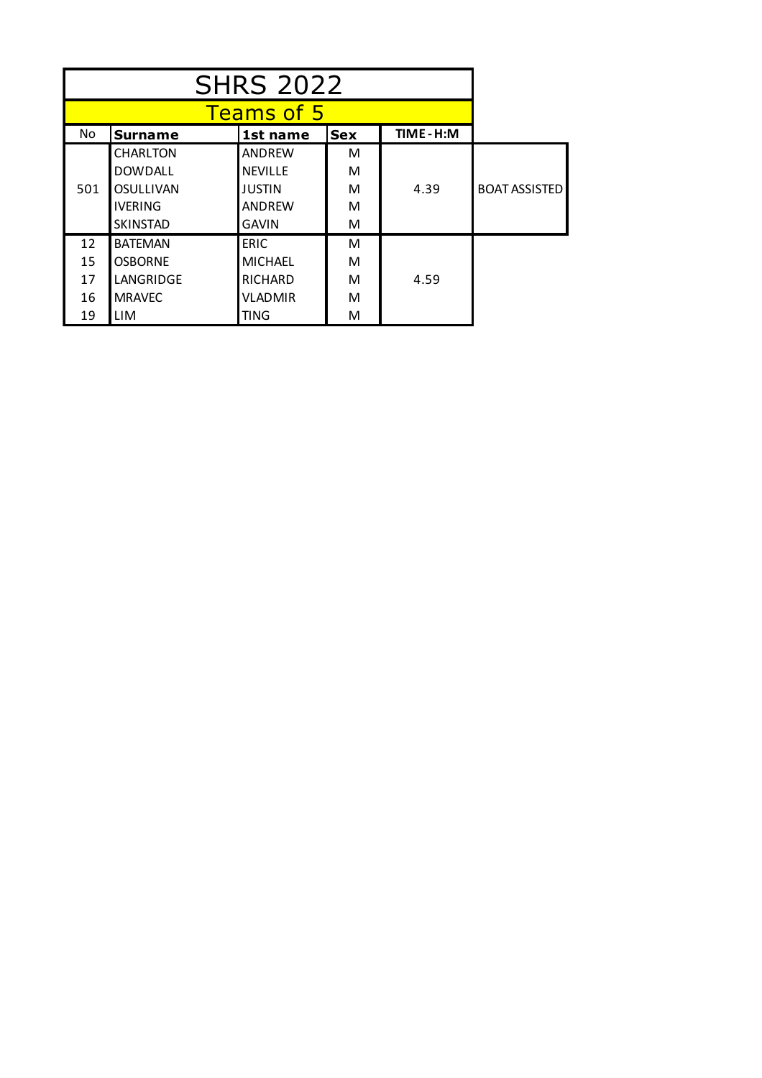|     | <b>Teams of 5</b> |                |            |          |                      |  |
|-----|-------------------|----------------|------------|----------|----------------------|--|
| No  | <b>Surname</b>    | 1st name       | <b>Sex</b> | TIME-H:M |                      |  |
|     | CHARLTON          | <b>ANDREW</b>  | м          |          |                      |  |
|     | <b>DOWDALL</b>    | <b>NEVILLE</b> | м          |          |                      |  |
| 501 | OSULLIVAN         | <b>JUSTIN</b>  | М          | 4.39     | <b>BOAT ASSISTED</b> |  |
|     | <b>IVERING</b>    | <b>ANDREW</b>  | м          |          |                      |  |
|     | SKINSTAD          | <b>GAVIN</b>   | м          |          |                      |  |
| 12  | <b>BATEMAN</b>    | <b>ERIC</b>    | м          |          |                      |  |
| 15  | <b>OSBORNE</b>    | <b>MICHAEL</b> | м          |          |                      |  |
| 17  | LANGRIDGE         | <b>RICHARD</b> | м          | 4.59     |                      |  |
| 16  | <b>MRAVEC</b>     | <b>VLADMIR</b> | м          |          |                      |  |
| 19  | LIM               | TING           | м          |          |                      |  |